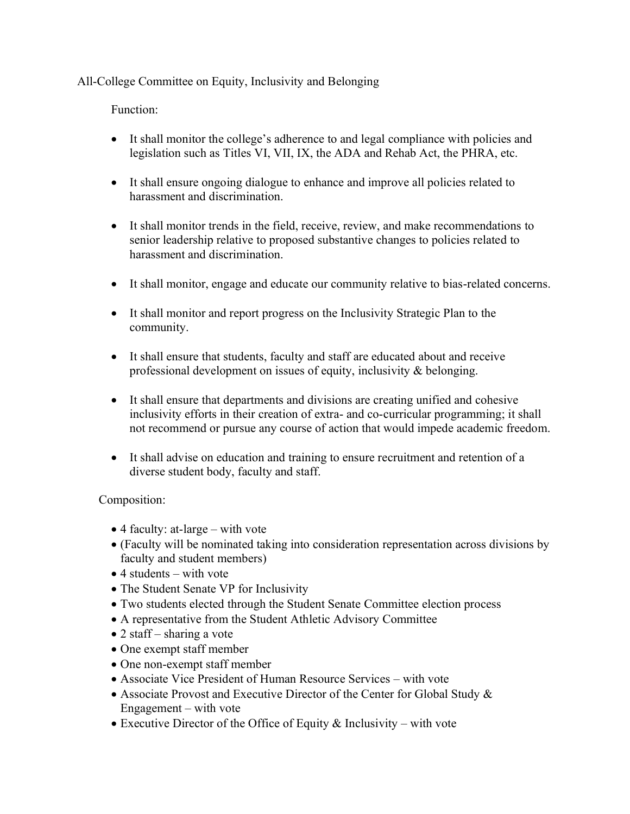All-College Committee on Equity, Inclusivity and Belonging

Function:

- It shall monitor the college's adherence to and legal compliance with policies and legislation such as Titles VI, VII, IX, the ADA and Rehab Act, the PHRA, etc.
- It shall ensure ongoing dialogue to enhance and improve all policies related to harassment and discrimination.
- It shall monitor trends in the field, receive, review, and make recommendations to senior leadership relative to proposed substantive changes to policies related to harassment and discrimination.
- It shall monitor, engage and educate our community relative to bias-related concerns.
- It shall monitor and report progress on the Inclusivity Strategic Plan to the community.
- It shall ensure that students, faculty and staff are educated about and receive professional development on issues of equity, inclusivity & belonging.
- It shall ensure that departments and divisions are creating unified and cohesive inclusivity efforts in their creation of extra- and co-curricular programming; it shall not recommend or pursue any course of action that would impede academic freedom.
- It shall advise on education and training to ensure recruitment and retention of a diverse student body, faculty and staff.

Composition:

- 4 faculty: at-large with vote
- (Faculty will be nominated taking into consideration representation across divisions by faculty and student members)
- $\bullet$  4 students with vote
- The Student Senate VP for Inclusivity
- Two students elected through the Student Senate Committee election process
- A representative from the Student Athletic Advisory Committee
- 2 staff sharing a vote
- One exempt staff member
- One non-exempt staff member
- Associate Vice President of Human Resource Services with vote
- Associate Provost and Executive Director of the Center for Global Study & Engagement – with vote
- Executive Director of the Office of Equity  $\&$  Inclusivity with vote